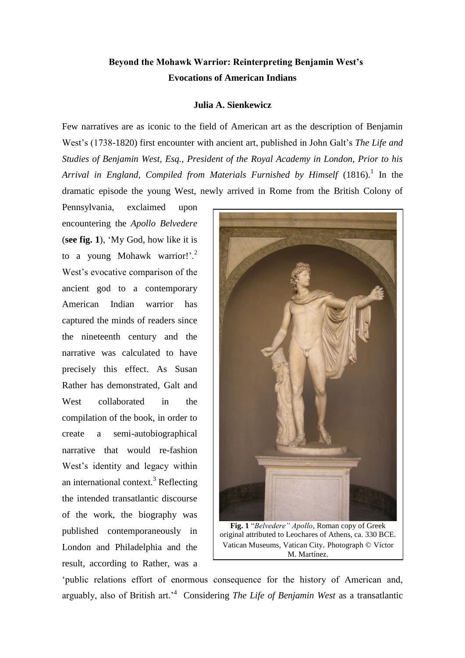# **Beyond the Mohawk Warrior: Reinterpreting Benjamin West's Evocations of American Indians**

### **Julia A. Sienkewicz**

Few narratives are as iconic to the field of American art as the description of Benjamin West's (1738-1820) first encounter with ancient art, published in John Galt's *The Life and Studies of Benjamin West, Esq., President of the Royal Academy in London, Prior to his*  Arrival in England, Compiled from Materials Furnished by Himself (1816).<sup>1</sup> In the dramatic episode the young West, newly arrived in Rome from the British Colony of

Pennsylvania, exclaimed upon encountering the *Apollo Belvedere* (**see fig. 1**), 'My God, how like it is to a young Mohawk warrior!'.<sup>2</sup> West's evocative comparison of the ancient god to a contemporary American Indian warrior has captured the minds of readers since the nineteenth century and the narrative was calculated to have precisely this effect. As Susan Rather has demonstrated, Galt and West collaborated in the compilation of the book, in order to create a semi-autobiographical narrative that would re-fashion West's identity and legacy within an international context. $3$  Reflecting the intended transatlantic discourse of the work, the biography was published contemporaneously in London and Philadelphia and the result, according to Rather, was a



'public relations effort of enormous consequence for the history of American and, arguably, also of British art.'<sup>4</sup> Considering *The Life of Benjamin West* as a transatlantic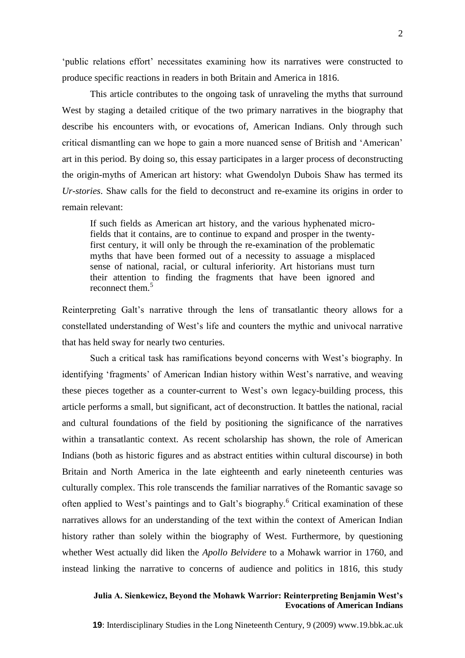'public relations effort' necessitates examining how its narratives were constructed to produce specific reactions in readers in both Britain and America in 1816.

This article contributes to the ongoing task of unraveling the myths that surround West by staging a detailed critique of the two primary narratives in the biography that describe his encounters with, or evocations of, American Indians. Only through such critical dismantling can we hope to gain a more nuanced sense of British and 'American' art in this period. By doing so, this essay participates in a larger process of deconstructing the origin-myths of American art history: what Gwendolyn Dubois Shaw has termed its *Ur-stories*. Shaw calls for the field to deconstruct and re-examine its origins in order to remain relevant:

If such fields as American art history, and the various hyphenated microfields that it contains, are to continue to expand and prosper in the twentyfirst century, it will only be through the re-examination of the problematic myths that have been formed out of a necessity to assuage a misplaced sense of national, racial, or cultural inferiority. Art historians must turn their attention to finding the fragments that have been ignored and reconnect them.<sup>5</sup>

Reinterpreting Galt's narrative through the lens of transatlantic theory allows for a constellated understanding of West's life and counters the mythic and univocal narrative that has held sway for nearly two centuries.

Such a critical task has ramifications beyond concerns with West's biography. In identifying 'fragments' of American Indian history within West's narrative, and weaving these pieces together as a counter-current to West's own legacy-building process, this article performs a small, but significant, act of deconstruction. It battles the national, racial and cultural foundations of the field by positioning the significance of the narratives within a transatlantic context. As recent scholarship has shown, the role of American Indians (both as historic figures and as abstract entities within cultural discourse) in both Britain and North America in the late eighteenth and early nineteenth centuries was culturally complex. This role transcends the familiar narratives of the Romantic savage so often applied to West's paintings and to Galt's biography.<sup>6</sup> Critical examination of these narratives allows for an understanding of the text within the context of American Indian history rather than solely within the biography of West. Furthermore, by questioning whether West actually did liken the *Apollo Belvidere* to a Mohawk warrior in 1760, and instead linking the narrative to concerns of audience and politics in 1816, this study

# **Julia A. Sienkewicz, Beyond the Mohawk Warrior: Reinterpreting Benjamin West's Evocations of American Indians**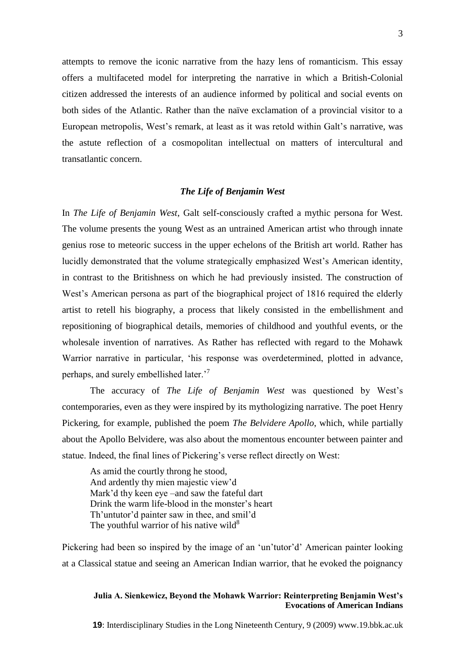attempts to remove the iconic narrative from the hazy lens of romanticism. This essay offers a multifaceted model for interpreting the narrative in which a British-Colonial citizen addressed the interests of an audience informed by political and social events on both sides of the Atlantic. Rather than the naïve exclamation of a provincial visitor to a European metropolis, West's remark, at least as it was retold within Galt's narrative, was the astute reflection of a cosmopolitan intellectual on matters of intercultural and transatlantic concern.

### *The Life of Benjamin West*

In *The Life of Benjamin West*, Galt self-consciously crafted a mythic persona for West. The volume presents the young West as an untrained American artist who through innate genius rose to meteoric success in the upper echelons of the British art world. Rather has lucidly demonstrated that the volume strategically emphasized West's American identity, in contrast to the Britishness on which he had previously insisted. The construction of West's American persona as part of the biographical project of 1816 required the elderly artist to retell his biography, a process that likely consisted in the embellishment and repositioning of biographical details, memories of childhood and youthful events, or the wholesale invention of narratives. As Rather has reflected with regard to the Mohawk Warrior narrative in particular, 'his response was overdetermined, plotted in advance, perhaps, and surely embellished later.'<sup>7</sup>

The accuracy of *The Life of Benjamin West* was questioned by West's contemporaries, even as they were inspired by its mythologizing narrative. The poet Henry Pickering, for example, published the poem *The Belvidere Apollo*, which, while partially about the Apollo Belvidere, was also about the momentous encounter between painter and statue. Indeed, the final lines of Pickering's verse reflect directly on West:

As amid the courtly throng he stood, And ardently thy mien majestic view'd Mark'd thy keen eye –and saw the fateful dart Drink the warm life-blood in the monster's heart Th'untutor'd painter saw in thee, and smil'd The youthful warrior of his native wild $^{8}$ 

Pickering had been so inspired by the image of an 'un'tutor'd' American painter looking at a Classical statue and seeing an American Indian warrior, that he evoked the poignancy

### **Julia A. Sienkewicz, Beyond the Mohawk Warrior: Reinterpreting Benjamin West's Evocations of American Indians**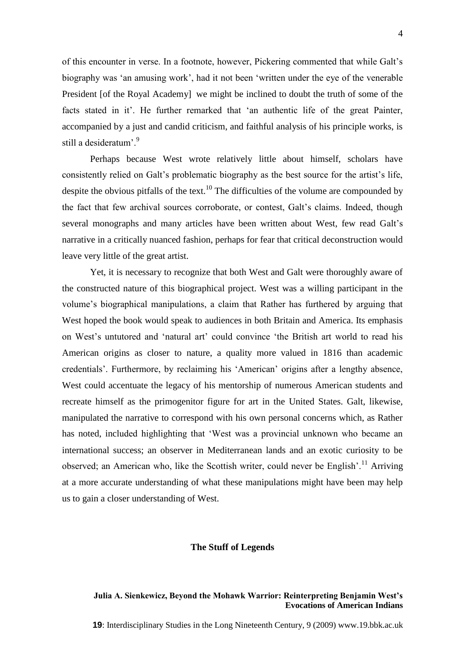of this encounter in verse. In a footnote, however, Pickering commented that while Galt's biography was 'an amusing work', had it not been 'written under the eye of the venerable President [of the Royal Academy] we might be inclined to doubt the truth of some of the facts stated in it'. He further remarked that 'an authentic life of the great Painter, accompanied by a just and candid criticism, and faithful analysis of his principle works, is still a desideratum<sup>'9</sup>

Perhaps because West wrote relatively little about himself, scholars have consistently relied on Galt's problematic biography as the best source for the artist's life, despite the obvious pitfalls of the text.<sup>10</sup> The difficulties of the volume are compounded by the fact that few archival sources corroborate, or contest, Galt's claims. Indeed, though several monographs and many articles have been written about West, few read Galt's narrative in a critically nuanced fashion, perhaps for fear that critical deconstruction would leave very little of the great artist.

Yet, it is necessary to recognize that both West and Galt were thoroughly aware of the constructed nature of this biographical project. West was a willing participant in the volume's biographical manipulations, a claim that Rather has furthered by arguing that West hoped the book would speak to audiences in both Britain and America. Its emphasis on West's untutored and 'natural art' could convince 'the British art world to read his American origins as closer to nature, a quality more valued in 1816 than academic credentials'. Furthermore, by reclaiming his 'American' origins after a lengthy absence, West could accentuate the legacy of his mentorship of numerous American students and recreate himself as the primogenitor figure for art in the United States. Galt, likewise, manipulated the narrative to correspond with his own personal concerns which, as Rather has noted, included highlighting that 'West was a provincial unknown who became an international success; an observer in Mediterranean lands and an exotic curiosity to be observed; an American who, like the Scottish writer, could never be English'.<sup>11</sup> Arriving at a more accurate understanding of what these manipulations might have been may help us to gain a closer understanding of West.

#### **The Stuff of Legends**

### **Julia A. Sienkewicz, Beyond the Mohawk Warrior: Reinterpreting Benjamin West's Evocations of American Indians**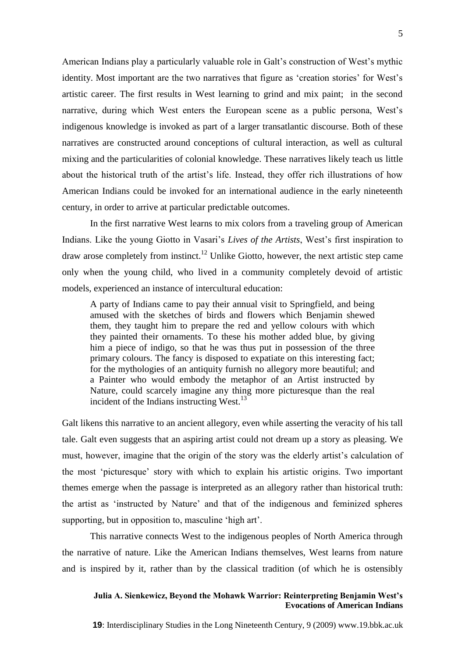American Indians play a particularly valuable role in Galt's construction of West's mythic identity. Most important are the two narratives that figure as 'creation stories' for West's artistic career. The first results in West learning to grind and mix paint; in the second narrative, during which West enters the European scene as a public persona, West's indigenous knowledge is invoked as part of a larger transatlantic discourse. Both of these narratives are constructed around conceptions of cultural interaction, as well as cultural mixing and the particularities of colonial knowledge. These narratives likely teach us little about the historical truth of the artist's life. Instead, they offer rich illustrations of how American Indians could be invoked for an international audience in the early nineteenth century, in order to arrive at particular predictable outcomes.

In the first narrative West learns to mix colors from a traveling group of American Indians. Like the young Giotto in Vasari's *Lives of the Artists*, West's first inspiration to draw arose completely from instinct.<sup>12</sup> Unlike Giotto, however, the next artistic step came only when the young child, who lived in a community completely devoid of artistic models, experienced an instance of intercultural education:

A party of Indians came to pay their annual visit to Springfield, and being amused with the sketches of birds and flowers which Benjamin shewed them, they taught him to prepare the red and yellow colours with which they painted their ornaments. To these his mother added blue, by giving him a piece of indigo, so that he was thus put in possession of the three primary colours. The fancy is disposed to expatiate on this interesting fact; for the mythologies of an antiquity furnish no allegory more beautiful; and a Painter who would embody the metaphor of an Artist instructed by Nature, could scarcely imagine any thing more picturesque than the real incident of the Indians instructing West.<sup>13</sup>

Galt likens this narrative to an ancient allegory, even while asserting the veracity of his tall tale. Galt even suggests that an aspiring artist could not dream up a story as pleasing. We must, however, imagine that the origin of the story was the elderly artist's calculation of the most 'picturesque' story with which to explain his artistic origins. Two important themes emerge when the passage is interpreted as an allegory rather than historical truth: the artist as 'instructed by Nature' and that of the indigenous and feminized spheres supporting, but in opposition to, masculine 'high art'.

This narrative connects West to the indigenous peoples of North America through the narrative of nature. Like the American Indians themselves, West learns from nature and is inspired by it, rather than by the classical tradition (of which he is ostensibly

# **Julia A. Sienkewicz, Beyond the Mohawk Warrior: Reinterpreting Benjamin West's Evocations of American Indians**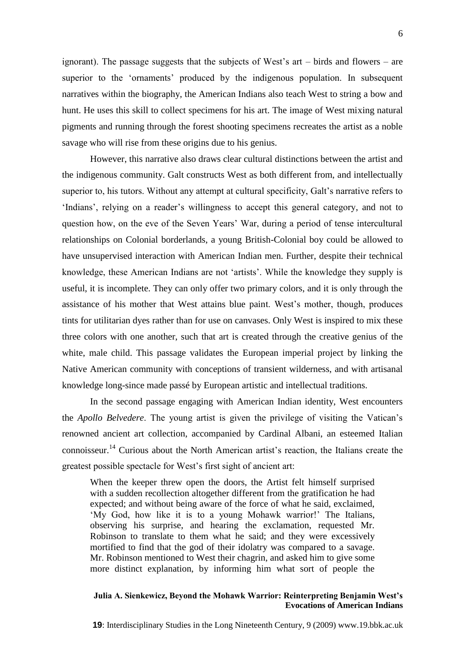ignorant). The passage suggests that the subjects of West's art – birds and flowers – are superior to the 'ornaments' produced by the indigenous population. In subsequent narratives within the biography, the American Indians also teach West to string a bow and hunt. He uses this skill to collect specimens for his art. The image of West mixing natural pigments and running through the forest shooting specimens recreates the artist as a noble savage who will rise from these origins due to his genius.

However, this narrative also draws clear cultural distinctions between the artist and the indigenous community. Galt constructs West as both different from, and intellectually superior to, his tutors. Without any attempt at cultural specificity, Galt's narrative refers to 'Indians', relying on a reader's willingness to accept this general category, and not to question how, on the eve of the Seven Years' War, during a period of tense intercultural relationships on Colonial borderlands, a young British-Colonial boy could be allowed to have unsupervised interaction with American Indian men. Further, despite their technical knowledge, these American Indians are not 'artists'. While the knowledge they supply is useful, it is incomplete. They can only offer two primary colors, and it is only through the assistance of his mother that West attains blue paint. West's mother, though, produces tints for utilitarian dyes rather than for use on canvases. Only West is inspired to mix these three colors with one another, such that art is created through the creative genius of the white, male child. This passage validates the European imperial project by linking the Native American community with conceptions of transient wilderness, and with artisanal knowledge long-since made passé by European artistic and intellectual traditions.

In the second passage engaging with American Indian identity, West encounters the *Apollo Belvedere*. The young artist is given the privilege of visiting the Vatican's renowned ancient art collection, accompanied by Cardinal Albani, an esteemed Italian connoisseur.<sup>14</sup> Curious about the North American artist's reaction, the Italians create the greatest possible spectacle for West's first sight of ancient art:

When the keeper threw open the doors, the Artist felt himself surprised with a sudden recollection altogether different from the gratification he had expected; and without being aware of the force of what he said, exclaimed, 'My God, how like it is to a young Mohawk warrior!' The Italians, observing his surprise, and hearing the exclamation, requested Mr. Robinson to translate to them what he said; and they were excessively mortified to find that the god of their idolatry was compared to a savage. Mr. Robinson mentioned to West their chagrin, and asked him to give some more distinct explanation, by informing him what sort of people the

### **Julia A. Sienkewicz, Beyond the Mohawk Warrior: Reinterpreting Benjamin West's Evocations of American Indians**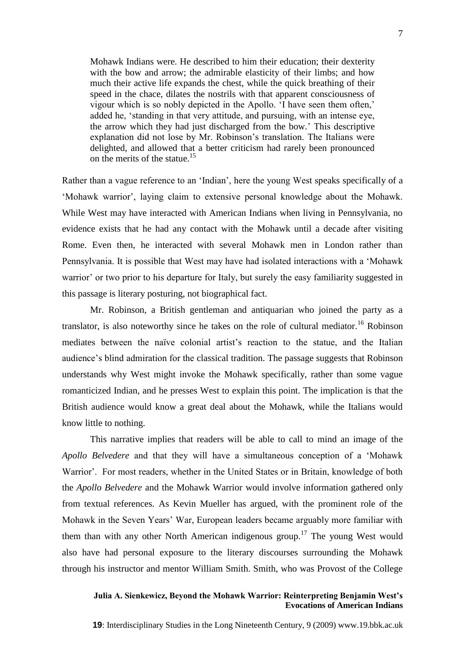Mohawk Indians were. He described to him their education; their dexterity with the bow and arrow; the admirable elasticity of their limbs; and how much their active life expands the chest, while the quick breathing of their speed in the chace, dilates the nostrils with that apparent consciousness of vigour which is so nobly depicted in the Apollo. 'I have seen them often,' added he, 'standing in that very attitude, and pursuing, with an intense eye, the arrow which they had just discharged from the bow.' This descriptive explanation did not lose by Mr. Robinson's translation. The Italians were delighted, and allowed that a better criticism had rarely been pronounced on the merits of the statue.<sup>15</sup>

Rather than a vague reference to an 'Indian', here the young West speaks specifically of a 'Mohawk warrior', laying claim to extensive personal knowledge about the Mohawk. While West may have interacted with American Indians when living in Pennsylvania, no evidence exists that he had any contact with the Mohawk until a decade after visiting Rome. Even then, he interacted with several Mohawk men in London rather than Pennsylvania. It is possible that West may have had isolated interactions with a 'Mohawk warrior' or two prior to his departure for Italy, but surely the easy familiarity suggested in this passage is literary posturing, not biographical fact.

Mr. Robinson, a British gentleman and antiquarian who joined the party as a translator, is also noteworthy since he takes on the role of cultural mediator.<sup>16</sup> Robinson mediates between the naïve colonial artist's reaction to the statue, and the Italian audience's blind admiration for the classical tradition. The passage suggests that Robinson understands why West might invoke the Mohawk specifically, rather than some vague romanticized Indian, and he presses West to explain this point. The implication is that the British audience would know a great deal about the Mohawk, while the Italians would know little to nothing.

This narrative implies that readers will be able to call to mind an image of the *Apollo Belvedere* and that they will have a simultaneous conception of a 'Mohawk Warrior'. For most readers, whether in the United States or in Britain, knowledge of both the *Apollo Belvedere* and the Mohawk Warrior would involve information gathered only from textual references. As Kevin Mueller has argued, with the prominent role of the Mohawk in the Seven Years' War, European leaders became arguably more familiar with them than with any other North American indigenous group.<sup>17</sup> The young West would also have had personal exposure to the literary discourses surrounding the Mohawk through his instructor and mentor William Smith. Smith, who was Provost of the College

# **Julia A. Sienkewicz, Beyond the Mohawk Warrior: Reinterpreting Benjamin West's Evocations of American Indians**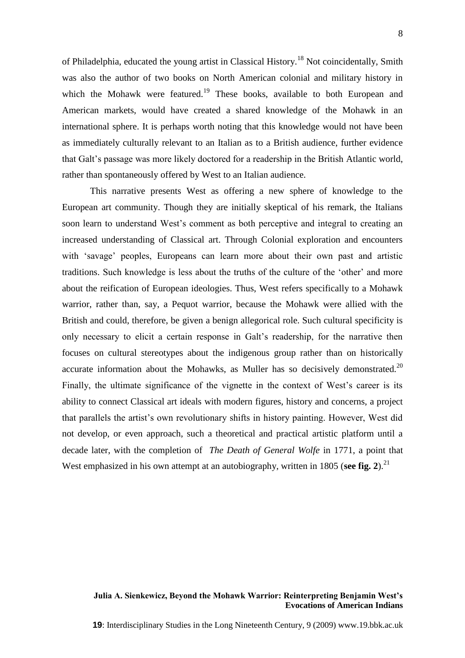of Philadelphia, educated the young artist in Classical History.<sup>18</sup> Not coincidentally, Smith was also the author of two books on North American colonial and military history in which the Mohawk were featured.<sup>19</sup> These books, available to both European and American markets, would have created a shared knowledge of the Mohawk in an international sphere. It is perhaps worth noting that this knowledge would not have been as immediately culturally relevant to an Italian as to a British audience, further evidence that Galt's passage was more likely doctored for a readership in the British Atlantic world, rather than spontaneously offered by West to an Italian audience.

This narrative presents West as offering a new sphere of knowledge to the European art community. Though they are initially skeptical of his remark, the Italians soon learn to understand West's comment as both perceptive and integral to creating an increased understanding of Classical art. Through Colonial exploration and encounters with 'savage' peoples, Europeans can learn more about their own past and artistic traditions. Such knowledge is less about the truths of the culture of the 'other' and more about the reification of European ideologies. Thus, West refers specifically to a Mohawk warrior, rather than, say, a Pequot warrior, because the Mohawk were allied with the British and could, therefore, be given a benign allegorical role. Such cultural specificity is only necessary to elicit a certain response in Galt's readership, for the narrative then focuses on cultural stereotypes about the indigenous group rather than on historically accurate information about the Mohawks, as Muller has so decisively demonstrated.<sup>20</sup> Finally, the ultimate significance of the vignette in the context of West's career is its ability to connect Classical art ideals with modern figures, history and concerns, a project that parallels the artist's own revolutionary shifts in history painting. However, West did not develop, or even approach, such a theoretical and practical artistic platform until a decade later, with the completion of *The Death of General Wolfe* in 1771, a point that West emphasized in his own attempt at an autobiography, written in 1805 (see fig. 2).<sup>21</sup>

### **Julia A. Sienkewicz, Beyond the Mohawk Warrior: Reinterpreting Benjamin West's Evocations of American Indians**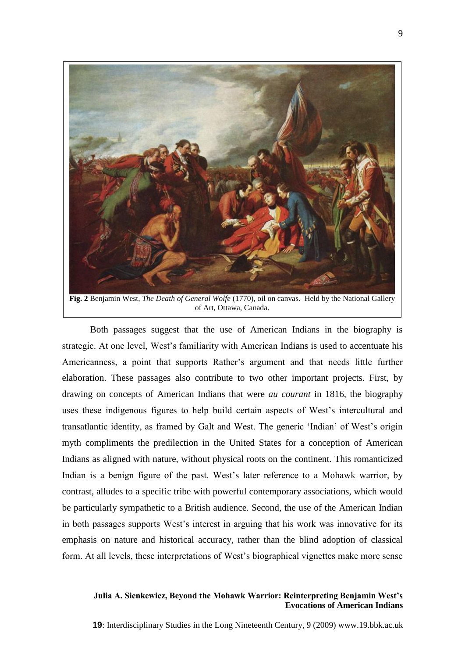

of Art, Ottawa, Canada.

Both passages suggest that the use of American Indians in the biography is strategic. At one level, West's familiarity with American Indians is used to accentuate his Americanness, a point that supports Rather's argument and that needs little further elaboration. These passages also contribute to two other important projects. First, by drawing on concepts of American Indians that were *au courant* in 1816, the biography uses these indigenous figures to help build certain aspects of West's intercultural and transatlantic identity, as framed by Galt and West. The generic 'Indian' of West's origin myth compliments the predilection in the United States for a conception of American Indians as aligned with nature, without physical roots on the continent. This romanticized Indian is a benign figure of the past. West's later reference to a Mohawk warrior, by contrast, alludes to a specific tribe with powerful contemporary associations, which would be particularly sympathetic to a British audience. Second, the use of the American Indian in both passages supports West's interest in arguing that his work was innovative for its emphasis on nature and historical accuracy, rather than the blind adoption of classical form. At all levels, these interpretations of West's biographical vignettes make more sense

### **Julia A. Sienkewicz, Beyond the Mohawk Warrior: Reinterpreting Benjamin West's Evocations of American Indians**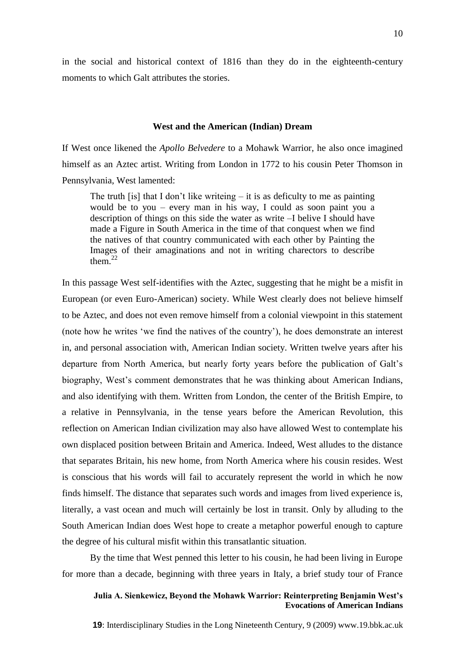in the social and historical context of 1816 than they do in the eighteenth-century moments to which Galt attributes the stories.

#### **West and the American (Indian) Dream**

If West once likened the *Apollo Belvedere* to a Mohawk Warrior, he also once imagined himself as an Aztec artist. Writing from London in 1772 to his cousin Peter Thomson in Pennsylvania, West lamented:

The truth [is] that I don't like writeing  $-$  it is as deficulty to me as painting would be to you – every man in his way, I could as soon paint you a description of things on this side the water as write –I belive I should have made a Figure in South America in the time of that conquest when we find the natives of that country communicated with each other by Painting the Images of their amaginations and not in writing charectors to describe them $^{22}$ 

In this passage West self-identifies with the Aztec, suggesting that he might be a misfit in European (or even Euro-American) society. While West clearly does not believe himself to be Aztec, and does not even remove himself from a colonial viewpoint in this statement (note how he writes 'we find the natives of the country'), he does demonstrate an interest in, and personal association with, American Indian society. Written twelve years after his departure from North America, but nearly forty years before the publication of Galt's biography, West's comment demonstrates that he was thinking about American Indians, and also identifying with them. Written from London, the center of the British Empire, to a relative in Pennsylvania, in the tense years before the American Revolution, this reflection on American Indian civilization may also have allowed West to contemplate his own displaced position between Britain and America. Indeed, West alludes to the distance that separates Britain, his new home, from North America where his cousin resides. West is conscious that his words will fail to accurately represent the world in which he now finds himself. The distance that separates such words and images from lived experience is, literally, a vast ocean and much will certainly be lost in transit. Only by alluding to the South American Indian does West hope to create a metaphor powerful enough to capture the degree of his cultural misfit within this transatlantic situation.

By the time that West penned this letter to his cousin, he had been living in Europe for more than a decade, beginning with three years in Italy, a brief study tour of France

# **Julia A. Sienkewicz, Beyond the Mohawk Warrior: Reinterpreting Benjamin West's Evocations of American Indians**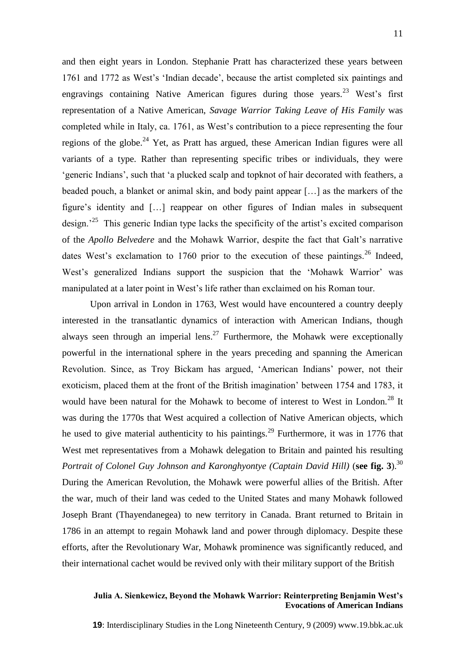and then eight years in London. Stephanie Pratt has characterized these years between 1761 and 1772 as West's 'Indian decade', because the artist completed six paintings and engravings containing Native American figures during those years.<sup>23</sup> West's first representation of a Native American, *Savage Warrior Taking Leave of His Family* was completed while in Italy, ca. 1761, as West's contribution to a piece representing the four regions of the globe.<sup>24</sup> Yet, as Pratt has argued, these American Indian figures were all variants of a type. Rather than representing specific tribes or individuals, they were 'generic Indians', such that 'a plucked scalp and topknot of hair decorated with feathers, a beaded pouch, a blanket or animal skin, and body paint appear […] as the markers of the figure's identity and […] reappear on other figures of Indian males in subsequent design.<sup>25</sup> This generic Indian type lacks the specificity of the artist's excited comparison of the *Apollo Belvedere* and the Mohawk Warrior, despite the fact that Galt's narrative dates West's exclamation to 1760 prior to the execution of these paintings.<sup>26</sup> Indeed, West's generalized Indians support the suspicion that the 'Mohawk Warrior' was manipulated at a later point in West's life rather than exclaimed on his Roman tour.

Upon arrival in London in 1763, West would have encountered a country deeply interested in the transatlantic dynamics of interaction with American Indians, though always seen through an imperial lens.<sup>27</sup> Furthermore, the Mohawk were exceptionally powerful in the international sphere in the years preceding and spanning the American Revolution. Since, as Troy Bickam has argued, 'American Indians' power, not their exoticism, placed them at the front of the British imagination' between 1754 and 1783, it would have been natural for the Mohawk to become of interest to West in London.<sup>28</sup> It was during the 1770s that West acquired a collection of Native American objects, which he used to give material authenticity to his paintings.<sup>29</sup> Furthermore, it was in 1776 that West met representatives from a Mohawk delegation to Britain and painted his resulting *Portrait of Colonel Guy Johnson and Karonghyontye (Captain David Hill)* (see fig. 3).<sup>30</sup> During the American Revolution, the Mohawk were powerful allies of the British. After the war, much of their land was ceded to the United States and many Mohawk followed Joseph Brant (Thayendanegea) to new territory in Canada. Brant returned to Britain in 1786 in an attempt to regain Mohawk land and power through diplomacy. Despite these efforts, after the Revolutionary War, Mohawk prominence was significantly reduced, and their international cachet would be revived only with their military support of the British

# **Julia A. Sienkewicz, Beyond the Mohawk Warrior: Reinterpreting Benjamin West's Evocations of American Indians**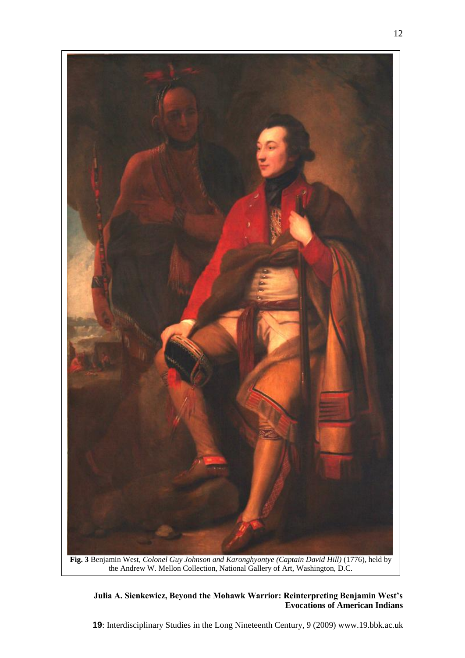

# **Julia A. Sienkewicz, Beyond the Mohawk Warrior: Reinterpreting Benjamin West's Evocations of American Indians**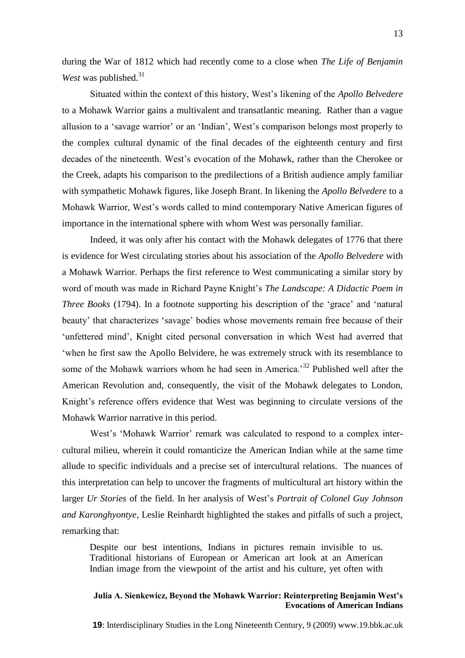during the War of 1812 which had recently come to a close when *The Life of Benjamin West* was published.<sup>31</sup>

Situated within the context of this history, West's likening of the *Apollo Belvedere* to a Mohawk Warrior gains a multivalent and transatlantic meaning. Rather than a vague allusion to a 'savage warrior' or an 'Indian', West's comparison belongs most properly to the complex cultural dynamic of the final decades of the eighteenth century and first decades of the nineteenth. West's evocation of the Mohawk, rather than the Cherokee or the Creek, adapts his comparison to the predilections of a British audience amply familiar with sympathetic Mohawk figures, like Joseph Brant. In likening the *Apollo Belvedere* to a Mohawk Warrior, West's words called to mind contemporary Native American figures of importance in the international sphere with whom West was personally familiar.

Indeed, it was only after his contact with the Mohawk delegates of 1776 that there is evidence for West circulating stories about his association of the *Apollo Belvedere* with a Mohawk Warrior. Perhaps the first reference to West communicating a similar story by word of mouth was made in Richard Payne Knight's *The Landscape: A Didactic Poem in Three Books* (1794). In a footnote supporting his description of the 'grace' and 'natural beauty' that characterizes 'savage' bodies whose movements remain free because of their 'unfettered mind', Knight cited personal conversation in which West had averred that 'when he first saw the Apollo Belvidere, he was extremely struck with its resemblance to some of the Mohawk warriors whom he had seen in America.<sup>32</sup> Published well after the American Revolution and, consequently, the visit of the Mohawk delegates to London, Knight's reference offers evidence that West was beginning to circulate versions of the Mohawk Warrior narrative in this period.

West's 'Mohawk Warrior' remark was calculated to respond to a complex intercultural milieu, wherein it could romanticize the American Indian while at the same time allude to specific individuals and a precise set of intercultural relations. The nuances of this interpretation can help to uncover the fragments of multicultural art history within the larger *Ur Stories* of the field. In her analysis of West's *Portrait of Colonel Guy Johnson and Karonghyontye,* Leslie Reinhardt highlighted the stakes and pitfalls of such a project, remarking that:

Despite our best intentions, Indians in pictures remain invisible to us. Traditional historians of European or American art look at an American Indian image from the viewpoint of the artist and his culture, yet often with

# **Julia A. Sienkewicz, Beyond the Mohawk Warrior: Reinterpreting Benjamin West's Evocations of American Indians**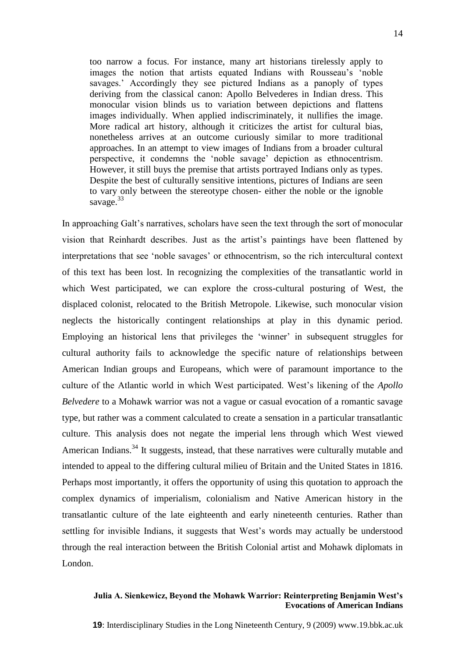too narrow a focus. For instance, many art historians tirelessly apply to images the notion that artists equated Indians with Rousseau's 'noble savages.' Accordingly they see pictured Indians as a panoply of types deriving from the classical canon: Apollo Belvederes in Indian dress. This monocular vision blinds us to variation between depictions and flattens images individually. When applied indiscriminately, it nullifies the image. More radical art history, although it criticizes the artist for cultural bias, nonetheless arrives at an outcome curiously similar to more traditional approaches. In an attempt to view images of Indians from a broader cultural perspective, it condemns the 'noble savage' depiction as ethnocentrism. However, it still buys the premise that artists portrayed Indians only as types. Despite the best of culturally sensitive intentions, pictures of Indians are seen to vary only between the stereotype chosen- either the noble or the ignoble savage. $33$ 

In approaching Galt's narratives, scholars have seen the text through the sort of monocular vision that Reinhardt describes. Just as the artist's paintings have been flattened by interpretations that see 'noble savages' or ethnocentrism, so the rich intercultural context of this text has been lost. In recognizing the complexities of the transatlantic world in which West participated, we can explore the cross-cultural posturing of West, the displaced colonist, relocated to the British Metropole. Likewise, such monocular vision neglects the historically contingent relationships at play in this dynamic period. Employing an historical lens that privileges the 'winner' in subsequent struggles for cultural authority fails to acknowledge the specific nature of relationships between American Indian groups and Europeans, which were of paramount importance to the culture of the Atlantic world in which West participated. West's likening of the *Apollo Belvedere* to a Mohawk warrior was not a vague or casual evocation of a romantic savage type, but rather was a comment calculated to create a sensation in a particular transatlantic culture. This analysis does not negate the imperial lens through which West viewed American Indians.<sup>34</sup> It suggests, instead, that these narratives were culturally mutable and intended to appeal to the differing cultural milieu of Britain and the United States in 1816. Perhaps most importantly, it offers the opportunity of using this quotation to approach the complex dynamics of imperialism, colonialism and Native American history in the transatlantic culture of the late eighteenth and early nineteenth centuries. Rather than settling for invisible Indians, it suggests that West's words may actually be understood through the real interaction between the British Colonial artist and Mohawk diplomats in London.

### **Julia A. Sienkewicz, Beyond the Mohawk Warrior: Reinterpreting Benjamin West's Evocations of American Indians**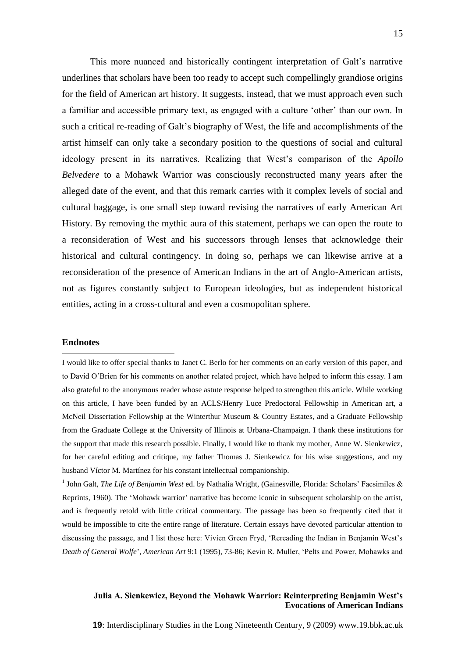This more nuanced and historically contingent interpretation of Galt's narrative underlines that scholars have been too ready to accept such compellingly grandiose origins for the field of American art history. It suggests, instead, that we must approach even such a familiar and accessible primary text, as engaged with a culture 'other' than our own. In such a critical re-reading of Galt's biography of West, the life and accomplishments of the artist himself can only take a secondary position to the questions of social and cultural ideology present in its narratives. Realizing that West's comparison of the *Apollo Belvedere* to a Mohawk Warrior was consciously reconstructed many years after the alleged date of the event, and that this remark carries with it complex levels of social and cultural baggage, is one small step toward revising the narratives of early American Art History. By removing the mythic aura of this statement, perhaps we can open the route to a reconsideration of West and his successors through lenses that acknowledge their historical and cultural contingency. In doing so, perhaps we can likewise arrive at a reconsideration of the presence of American Indians in the art of Anglo-American artists, not as figures constantly subject to European ideologies, but as independent historical entities, acting in a cross-cultural and even a cosmopolitan sphere.

### **Endnotes**

1

I would like to offer special thanks to Janet C. Berlo for her comments on an early version of this paper, and to David O'Brien for his comments on another related project, which have helped to inform this essay. I am also grateful to the anonymous reader whose astute response helped to strengthen this article. While working on this article, I have been funded by an ACLS/Henry Luce Predoctoral Fellowship in American art, a McNeil Dissertation Fellowship at the Winterthur Museum & Country Estates, and a Graduate Fellowship from the Graduate College at the University of Illinois at Urbana-Champaign. I thank these institutions for the support that made this research possible. Finally, I would like to thank my mother, Anne W. Sienkewicz, for her careful editing and critique, my father Thomas J. Sienkewicz for his wise suggestions, and my husband Víctor M. Martínez for his constant intellectual companionship.

<sup>1</sup> John Galt, *The Life of Benjamin West* ed. by Nathalia Wright, (Gainesville, Florida: Scholars' Facsimiles & Reprints, 1960). The 'Mohawk warrior' narrative has become iconic in subsequent scholarship on the artist, and is frequently retold with little critical commentary. The passage has been so frequently cited that it would be impossible to cite the entire range of literature. Certain essays have devoted particular attention to discussing the passage, and I list those here: Vivien Green Fryd, 'Rereading the Indian in Benjamin West's *Death of General Wolfe*', *American Art* 9:1 (1995), 73-86; Kevin R. Muller, 'Pelts and Power, Mohawks and

### **Julia A. Sienkewicz, Beyond the Mohawk Warrior: Reinterpreting Benjamin West's Evocations of American Indians**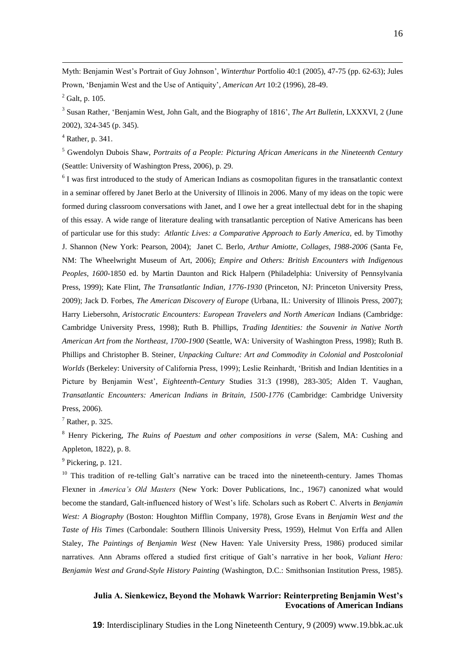Myth: Benjamin West's Portrait of Guy Johnson', *Winterthur* Portfolio 40:1 (2005), 47-75 (pp. 62-63); Jules Prown, 'Benjamin West and the Use of Antiquity', *American Art* 10:2 (1996), 28-49.

 $^{2}$  Galt, p. 105.

<u>.</u>

3 Susan Rather, 'Benjamin West, John Galt, and the Biography of 1816', *The Art Bulletin*, LXXXVI, 2 (June 2002), 324-345 (p. 345).

<sup>4</sup> Rather, p. 341.

<sup>5</sup> Gwendolyn Dubois Shaw, *Portraits of a People: Picturing African Americans in the Nineteenth Century* (Seattle: University of Washington Press, 2006), p. 29.

<sup>6</sup> I was first introduced to the study of American Indians as cosmopolitan figures in the transatlantic context in a seminar offered by Janet Berlo at the University of Illinois in 2006. Many of my ideas on the topic were formed during classroom conversations with Janet, and I owe her a great intellectual debt for in the shaping of this essay. A wide range of literature dealing with transatlantic perception of Native Americans has been of particular use for this study: *Atlantic Lives: a Comparative Approach to Early America,* ed. by Timothy J. Shannon (New York: Pearson, 2004); Janet C. Berlo, *Arthur Amiotte, Collages, 1988-2006* (Santa Fe, NM: The Wheelwright Museum of Art, 2006); *Empire and Others: British Encounters with Indigenous Peoples, 1600-*1850 ed. by Martin Daunton and Rick Halpern (Philadelphia: University of Pennsylvania Press, 1999); Kate Flint, *The Transatlantic Indian, 1776-1930* (Princeton, NJ: Princeton University Press, 2009); Jack D. Forbes, *The American Discovery of Europe* (Urbana, IL: University of Illinois Press, 2007); Harry Liebersohn, *Aristocratic Encounters: European Travelers and North American* Indians (Cambridge: Cambridge University Press, 1998); Ruth B. Phillips, *Trading Identities: the Souvenir in Native North American Art from the Northeast, 1700-1900* (Seattle, WA: University of Washington Press, 1998); Ruth B. Phillips and Christopher B. Steiner, *Unpacking Culture: Art and Commodity in Colonial and Postcolonial Worlds* (Berkeley: University of California Press, 1999); Leslie Reinhardt, 'British and Indian Identities in a Picture by Benjamin West', *Eighteenth-Century* Studies 31:3 (1998), 283-305; Alden T. Vaughan, *Transatlantic Encounters: American Indians in Britain, 1500-1776* (Cambridge: Cambridge University Press, 2006).

 $<sup>7</sup>$  Rather, p. 325.</sup>

<sup>8</sup> Henry Pickering, *The Ruins of Paestum and other compositions in verse* (Salem, MA: Cushing and Appleton, 1822), p. 8.

<sup>9</sup> Pickering, p. 121.

 $10$  This tradition of re-telling Galt's narrative can be traced into the nineteenth-century. James Thomas Flexner in *America's Old Masters* (New York: Dover Publications, Inc., 1967) canonized what would become the standard, Galt-influenced history of West's life. Scholars such as Robert C. Alverts in *Benjamin West: A Biography* (Boston: Houghton Mifflin Company, 1978), Grose Evans in *Benjamin West and the Taste of His Times* (Carbondale: Southern Illinois University Press, 1959), Helmut Von Erffa and Allen Staley, *The Paintings of Benjamin West* (New Haven: Yale University Press, 1986) produced similar narratives. Ann Abrams offered a studied first critique of Galt's narrative in her book, *Valiant Hero: Benjamin West and Grand-Style History Painting* (Washington, D.C.: Smithsonian Institution Press, 1985).

# **Julia A. Sienkewicz, Beyond the Mohawk Warrior: Reinterpreting Benjamin West's Evocations of American Indians**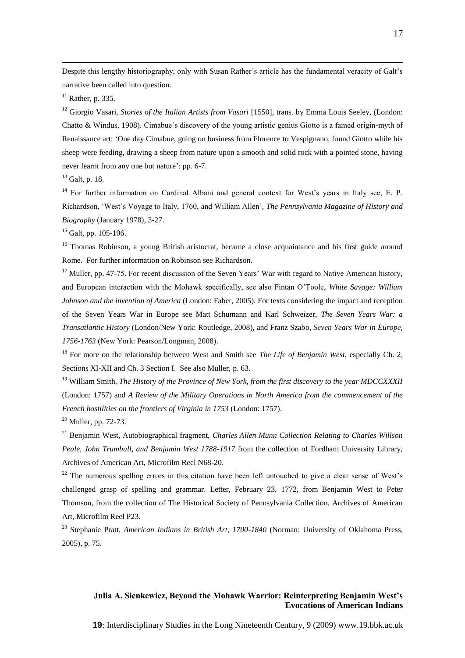Despite this lengthy historiography, only with Susan Rather's article has the fundamental veracity of Galt's narrative been called into question.

 $<sup>11</sup>$  Rather, p. 335.</sup>

<u>.</u>

<sup>12</sup> Giorgio Vasari, *Stories of the Italian Artists from Vasari* [1550], trans. by Emma Louis Seeley, (London: Chatto & Windus, 1908). Cimabue's discovery of the young artistic genius Giotto is a famed origin-myth of Renaissance art: 'One day Cimabue, going on business from Florence to Vespignano, found Giotto while his sheep were feeding, drawing a sheep from nature upon a smooth and solid rock with a pointed stone, having never learnt from any one but nature': pp. 6-7.

<sup>13</sup> Galt, p. 18.

<sup>14</sup> For further information on Cardinal Albani and general context for West's years in Italy see, E. P. Richardson, 'West's Voyage to Italy, 1760, and William Allen', *The Pennsylvania Magazine of History and Biography* (January 1978), 3-27.

 $15$  Galt, pp. 105-106.

<sup>16</sup> Thomas Robinson, a young British aristocrat, became a close acquaintance and his first guide around Rome. For further information on Robinson see Richardson.

<sup>17</sup> Muller, pp. 47-75. For recent discussion of the Seven Years' War with regard to Native American history, and European interaction with the Mohawk specifically, see also Fintan O'Toole, *White Savage: William Johnson and the invention of America* (London: Faber, 2005). For texts considering the impact and reception of the Seven Years War in Europe see Matt Schumann and Karl Schweizer, *The Seven Years War: a Transatlantic History* (London/New York: Routledge, 2008), and Franz Szabo, *Seven Years War in Europe, 1756-1763* (New York: Pearson/Longman, 2008).

<sup>18</sup> For more on the relationship between West and Smith see *The Life of Benjamin West*, especially Ch. 2, Sections XI-XII and Ch. 3 Section I. See also Muller, p. 63.

<sup>19</sup> William Smith, *The History of the Province of New York, from the first discovery to the year MDCCXXXII* (London: 1757) and *A Review of the Military Operations in North America from the commencement of the French hostilities on the frontiers of Virginia in 1753* (London: 1757).

 $20$  Muller, pp. 72-73.

<sup>21</sup> Benjamin West, Autobiographical fragment, *Charles Allen Munn Collection Relating to Charles Willson Peale, John Trumbull, and Benjamin West 1788-1917* from the collection of Fordham University Library, Archives of American Art, Microfilm Reel N68-20.

 $22$  The numerous spelling errors in this citation have been left untouched to give a clear sense of West's challenged grasp of spelling and grammar. Letter, February 23, 1772, from Benjamin West to Peter Thomson, from the collection of The Historical Society of Pennsylvania Collection, Archives of American Art, Microfilm Reel P23.

<sup>23</sup> Stephanie Pratt, *American Indians in British Art, 1700-1840* (Norman: University of Oklahoma Press, 2005), p. 75.

# **Julia A. Sienkewicz, Beyond the Mohawk Warrior: Reinterpreting Benjamin West's Evocations of American Indians**